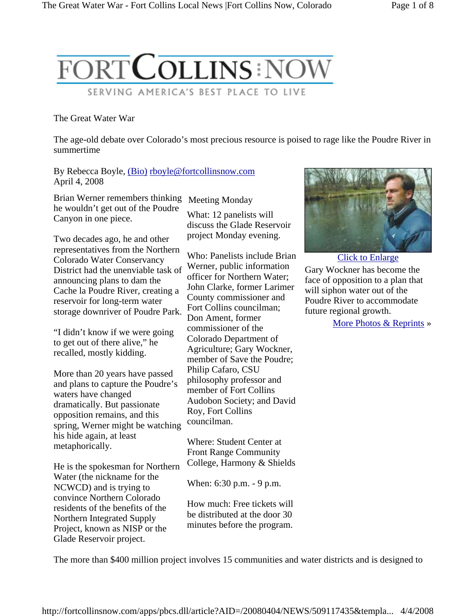

## The Great Water War

The age-old debate over Colorado's most precious resource is poised to rage like the Poudre River in summertime

By Rebecca Boyle, (Bio) rboyle@fortcollinsnow.com April 4, 2008

Brian Werner remembers thinking Meeting Monday he wouldn't get out of the Poudre Canyon in one piece.

Two decades ago, he and other representatives from the Northern Colorado Water Conservancy District had the unenviable task of announcing plans to dam the Cache la Poudre River, creating a reservoir for long-term water storage downriver of Poudre Park.

"I didn't know if we were going to get out of there alive," he recalled, mostly kidding.

More than 20 years have passed and plans to capture the Poudre's waters have changed dramatically. But passionate opposition remains, and this spring, Werner might be watching his hide again, at least metaphorically.

He is the spokesman for Northern Water (the nickname for the NCWCD) and is trying to convince Northern Colorado residents of the benefits of the Northern Integrated Supply Project, known as NISP or the Glade Reservoir project.

What: 12 panelists will discuss the Glade Reservoir project Monday evening.

Who: Panelists include Brian Werner, public information officer for Northern Water; John Clarke, former Larimer County commissioner and Fort Collins councilman; Don Ament, former commissioner of the Colorado Department of Agriculture; Gary Wockner, member of Save the Poudre; Philip Cafaro, CSU philosophy professor and member of Fort Collins Audobon Society; and David Roy, Fort Collins councilman.

Where: Student Center at Front Range Community College, Harmony & Shields

When: 6:30 p.m. - 9 p.m.

How much: Free tickets will be distributed at the door 30 minutes before the program.



Click to Enlarge Gary Wockner has become the face of opposition to a plan that will siphon water out of the Poudre River to accommodate future regional growth.

More Photos & Reprints »

The more than \$400 million project involves 15 communities and water districts and is designed to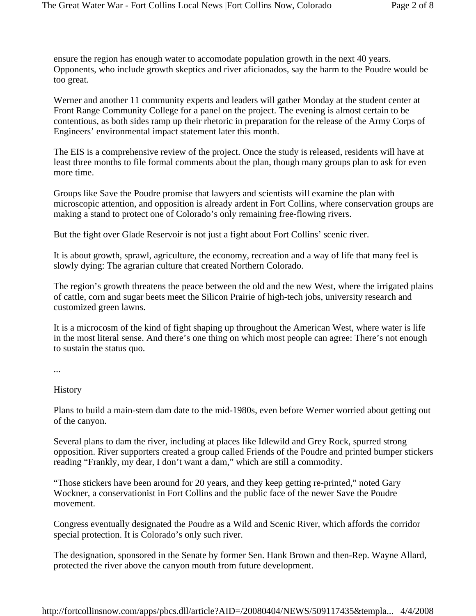ensure the region has enough water to accomodate population growth in the next 40 years. Opponents, who include growth skeptics and river aficionados, say the harm to the Poudre would be too great.

Werner and another 11 community experts and leaders will gather Monday at the student center at Front Range Community College for a panel on the project. The evening is almost certain to be contentious, as both sides ramp up their rhetoric in preparation for the release of the Army Corps of Engineers' environmental impact statement later this month.

The EIS is a comprehensive review of the project. Once the study is released, residents will have at least three months to file formal comments about the plan, though many groups plan to ask for even more time.

Groups like Save the Poudre promise that lawyers and scientists will examine the plan with microscopic attention, and opposition is already ardent in Fort Collins, where conservation groups are making a stand to protect one of Colorado's only remaining free-flowing rivers.

But the fight over Glade Reservoir is not just a fight about Fort Collins' scenic river.

It is about growth, sprawl, agriculture, the economy, recreation and a way of life that many feel is slowly dying: The agrarian culture that created Northern Colorado.

The region's growth threatens the peace between the old and the new West, where the irrigated plains of cattle, corn and sugar beets meet the Silicon Prairie of high-tech jobs, university research and customized green lawns.

It is a microcosm of the kind of fight shaping up throughout the American West, where water is life in the most literal sense. And there's one thing on which most people can agree: There's not enough to sustain the status quo.

...

**History** 

Plans to build a main-stem dam date to the mid-1980s, even before Werner worried about getting out of the canyon.

Several plans to dam the river, including at places like Idlewild and Grey Rock, spurred strong opposition. River supporters created a group called Friends of the Poudre and printed bumper stickers reading "Frankly, my dear, I don't want a dam," which are still a commodity.

"Those stickers have been around for 20 years, and they keep getting re-printed," noted Gary Wockner, a conservationist in Fort Collins and the public face of the newer Save the Poudre movement.

Congress eventually designated the Poudre as a Wild and Scenic River, which affords the corridor special protection. It is Colorado's only such river.

The designation, sponsored in the Senate by former Sen. Hank Brown and then-Rep. Wayne Allard, protected the river above the canyon mouth from future development.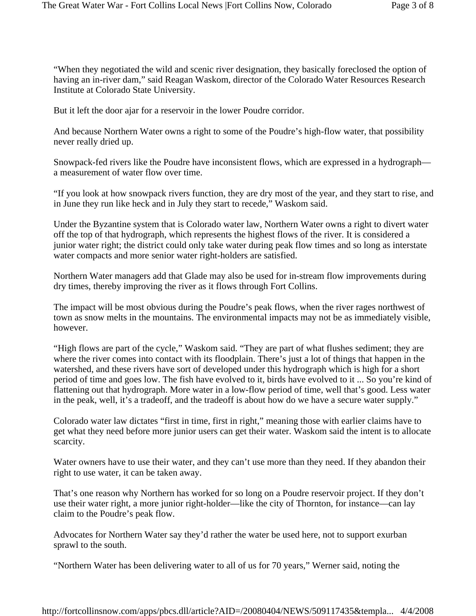"When they negotiated the wild and scenic river designation, they basically foreclosed the option of having an in-river dam," said Reagan Waskom, director of the Colorado Water Resources Research Institute at Colorado State University.

But it left the door ajar for a reservoir in the lower Poudre corridor.

And because Northern Water owns a right to some of the Poudre's high-flow water, that possibility never really dried up.

Snowpack-fed rivers like the Poudre have inconsistent flows, which are expressed in a hydrograph a measurement of water flow over time.

"If you look at how snowpack rivers function, they are dry most of the year, and they start to rise, and in June they run like heck and in July they start to recede," Waskom said.

Under the Byzantine system that is Colorado water law, Northern Water owns a right to divert water off the top of that hydrograph, which represents the highest flows of the river. It is considered a junior water right; the district could only take water during peak flow times and so long as interstate water compacts and more senior water right-holders are satisfied.

Northern Water managers add that Glade may also be used for in-stream flow improvements during dry times, thereby improving the river as it flows through Fort Collins.

The impact will be most obvious during the Poudre's peak flows, when the river rages northwest of town as snow melts in the mountains. The environmental impacts may not be as immediately visible, however.

"High flows are part of the cycle," Waskom said. "They are part of what flushes sediment; they are where the river comes into contact with its floodplain. There's just a lot of things that happen in the watershed, and these rivers have sort of developed under this hydrograph which is high for a short period of time and goes low. The fish have evolved to it, birds have evolved to it ... So you're kind of flattening out that hydrograph. More water in a low-flow period of time, well that's good. Less water in the peak, well, it's a tradeoff, and the tradeoff is about how do we have a secure water supply."

Colorado water law dictates "first in time, first in right," meaning those with earlier claims have to get what they need before more junior users can get their water. Waskom said the intent is to allocate scarcity.

Water owners have to use their water, and they can't use more than they need. If they abandon their right to use water, it can be taken away.

That's one reason why Northern has worked for so long on a Poudre reservoir project. If they don't use their water right, a more junior right-holder—like the city of Thornton, for instance—can lay claim to the Poudre's peak flow.

Advocates for Northern Water say they'd rather the water be used here, not to support exurban sprawl to the south.

"Northern Water has been delivering water to all of us for 70 years," Werner said, noting the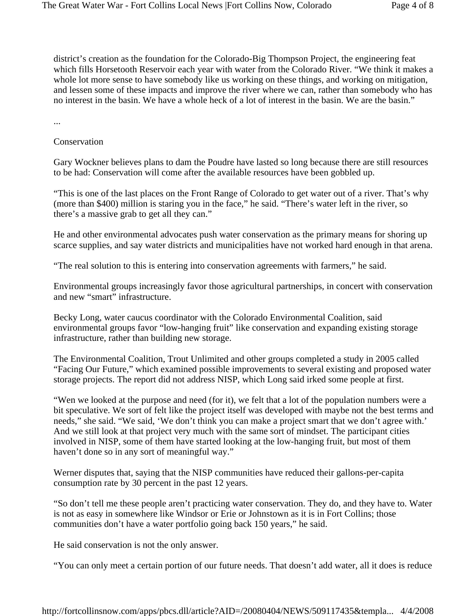district's creation as the foundation for the Colorado-Big Thompson Project, the engineering feat which fills Horsetooth Reservoir each year with water from the Colorado River. "We think it makes a whole lot more sense to have somebody like us working on these things, and working on mitigation, and lessen some of these impacts and improve the river where we can, rather than somebody who has no interest in the basin. We have a whole heck of a lot of interest in the basin. We are the basin."

...

Conservation

Gary Wockner believes plans to dam the Poudre have lasted so long because there are still resources to be had: Conservation will come after the available resources have been gobbled up.

"This is one of the last places on the Front Range of Colorado to get water out of a river. That's why (more than \$400) million is staring you in the face," he said. "There's water left in the river, so there's a massive grab to get all they can."

He and other environmental advocates push water conservation as the primary means for shoring up scarce supplies, and say water districts and municipalities have not worked hard enough in that arena.

"The real solution to this is entering into conservation agreements with farmers," he said.

Environmental groups increasingly favor those agricultural partnerships, in concert with conservation and new "smart" infrastructure.

Becky Long, water caucus coordinator with the Colorado Environmental Coalition, said environmental groups favor "low-hanging fruit" like conservation and expanding existing storage infrastructure, rather than building new storage.

The Environmental Coalition, Trout Unlimited and other groups completed a study in 2005 called "Facing Our Future," which examined possible improvements to several existing and proposed water storage projects. The report did not address NISP, which Long said irked some people at first.

"Wen we looked at the purpose and need (for it), we felt that a lot of the population numbers were a bit speculative. We sort of felt like the project itself was developed with maybe not the best terms and needs," she said. "We said, 'We don't think you can make a project smart that we don't agree with.' And we still look at that project very much with the same sort of mindset. The participant cities involved in NISP, some of them have started looking at the low-hanging fruit, but most of them haven't done so in any sort of meaningful way."

Werner disputes that, saying that the NISP communities have reduced their gallons-per-capita consumption rate by 30 percent in the past 12 years.

"So don't tell me these people aren't practicing water conservation. They do, and they have to. Water is not as easy in somewhere like Windsor or Erie or Johnstown as it is in Fort Collins; those communities don't have a water portfolio going back 150 years," he said.

He said conservation is not the only answer.

"You can only meet a certain portion of our future needs. That doesn't add water, all it does is reduce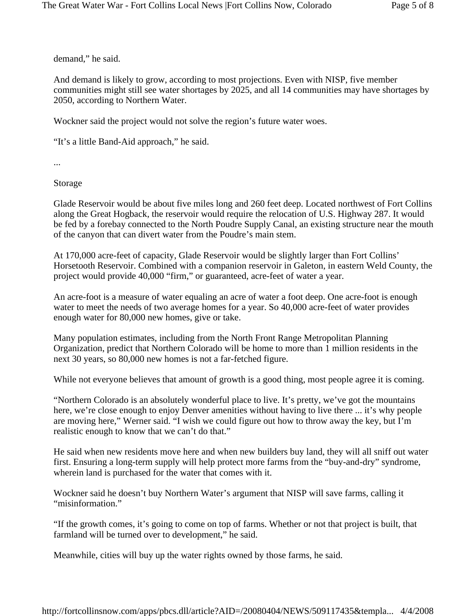demand," he said.

And demand is likely to grow, according to most projections. Even with NISP, five member communities might still see water shortages by 2025, and all 14 communities may have shortages by 2050, according to Northern Water.

Wockner said the project would not solve the region's future water woes.

"It's a little Band-Aid approach," he said.

...

Storage

Glade Reservoir would be about five miles long and 260 feet deep. Located northwest of Fort Collins along the Great Hogback, the reservoir would require the relocation of U.S. Highway 287. It would be fed by a forebay connected to the North Poudre Supply Canal, an existing structure near the mouth of the canyon that can divert water from the Poudre's main stem.

At 170,000 acre-feet of capacity, Glade Reservoir would be slightly larger than Fort Collins' Horsetooth Reservoir. Combined with a companion reservoir in Galeton, in eastern Weld County, the project would provide 40,000 "firm," or guaranteed, acre-feet of water a year.

An acre-foot is a measure of water equaling an acre of water a foot deep. One acre-foot is enough water to meet the needs of two average homes for a year. So 40,000 acre-feet of water provides enough water for 80,000 new homes, give or take.

Many population estimates, including from the North Front Range Metropolitan Planning Organization, predict that Northern Colorado will be home to more than 1 million residents in the next 30 years, so 80,000 new homes is not a far-fetched figure.

While not everyone believes that amount of growth is a good thing, most people agree it is coming.

"Northern Colorado is an absolutely wonderful place to live. It's pretty, we've got the mountains here, we're close enough to enjoy Denver amenities without having to live there ... it's why people are moving here," Werner said. "I wish we could figure out how to throw away the key, but I'm realistic enough to know that we can't do that."

He said when new residents move here and when new builders buy land, they will all sniff out water first. Ensuring a long-term supply will help protect more farms from the "buy-and-dry" syndrome, wherein land is purchased for the water that comes with it.

Wockner said he doesn't buy Northern Water's argument that NISP will save farms, calling it "misinformation."

"If the growth comes, it's going to come on top of farms. Whether or not that project is built, that farmland will be turned over to development," he said.

Meanwhile, cities will buy up the water rights owned by those farms, he said.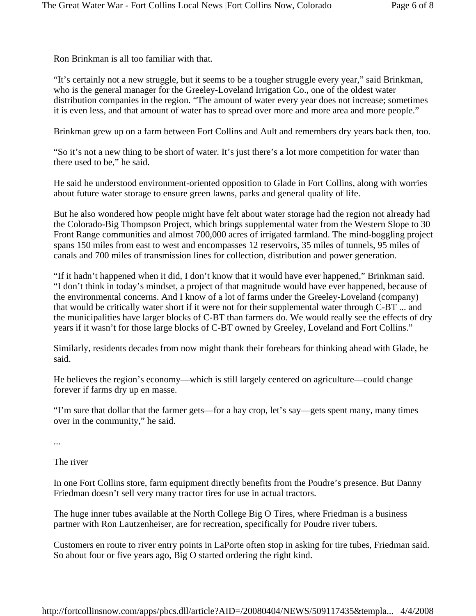Ron Brinkman is all too familiar with that.

"It's certainly not a new struggle, but it seems to be a tougher struggle every year," said Brinkman, who is the general manager for the Greeley-Loveland Irrigation Co., one of the oldest water distribution companies in the region. "The amount of water every year does not increase; sometimes it is even less, and that amount of water has to spread over more and more area and more people."

Brinkman grew up on a farm between Fort Collins and Ault and remembers dry years back then, too.

"So it's not a new thing to be short of water. It's just there's a lot more competition for water than there used to be," he said.

He said he understood environment-oriented opposition to Glade in Fort Collins, along with worries about future water storage to ensure green lawns, parks and general quality of life.

But he also wondered how people might have felt about water storage had the region not already had the Colorado-Big Thompson Project, which brings supplemental water from the Western Slope to 30 Front Range communities and almost 700,000 acres of irrigated farmland. The mind-boggling project spans 150 miles from east to west and encompasses 12 reservoirs, 35 miles of tunnels, 95 miles of canals and 700 miles of transmission lines for collection, distribution and power generation.

"If it hadn't happened when it did, I don't know that it would have ever happened," Brinkman said. "I don't think in today's mindset, a project of that magnitude would have ever happened, because of the environmental concerns. And I know of a lot of farms under the Greeley-Loveland (company) that would be critically water short if it were not for their supplemental water through C-BT ... and the municipalities have larger blocks of C-BT than farmers do. We would really see the effects of dry years if it wasn't for those large blocks of C-BT owned by Greeley, Loveland and Fort Collins."

Similarly, residents decades from now might thank their forebears for thinking ahead with Glade, he said.

He believes the region's economy—which is still largely centered on agriculture—could change forever if farms dry up en masse.

"I'm sure that dollar that the farmer gets—for a hay crop, let's say—gets spent many, many times over in the community," he said.

...

The river

In one Fort Collins store, farm equipment directly benefits from the Poudre's presence. But Danny Friedman doesn't sell very many tractor tires for use in actual tractors.

The huge inner tubes available at the North College Big O Tires, where Friedman is a business partner with Ron Lautzenheiser, are for recreation, specifically for Poudre river tubers.

Customers en route to river entry points in LaPorte often stop in asking for tire tubes, Friedman said. So about four or five years ago, Big O started ordering the right kind.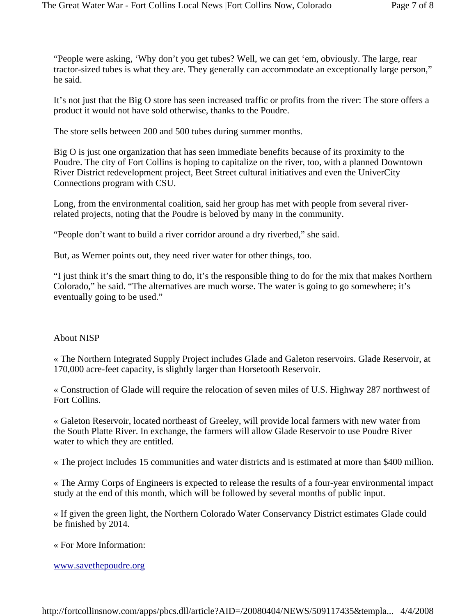"People were asking, 'Why don't you get tubes? Well, we can get 'em, obviously. The large, rear tractor-sized tubes is what they are. They generally can accommodate an exceptionally large person," he said.

It's not just that the Big O store has seen increased traffic or profits from the river: The store offers a product it would not have sold otherwise, thanks to the Poudre.

The store sells between 200 and 500 tubes during summer months.

Big O is just one organization that has seen immediate benefits because of its proximity to the Poudre. The city of Fort Collins is hoping to capitalize on the river, too, with a planned Downtown River District redevelopment project, Beet Street cultural initiatives and even the UniverCity Connections program with CSU.

Long, from the environmental coalition, said her group has met with people from several riverrelated projects, noting that the Poudre is beloved by many in the community.

"People don't want to build a river corridor around a dry riverbed," she said.

But, as Werner points out, they need river water for other things, too.

"I just think it's the smart thing to do, it's the responsible thing to do for the mix that makes Northern Colorado," he said. "The alternatives are much worse. The water is going to go somewhere; it's eventually going to be used."

## About NISP

« The Northern Integrated Supply Project includes Glade and Galeton reservoirs. Glade Reservoir, at 170,000 acre-feet capacity, is slightly larger than Horsetooth Reservoir.

« Construction of Glade will require the relocation of seven miles of U.S. Highway 287 northwest of Fort Collins.

« Galeton Reservoir, located northeast of Greeley, will provide local farmers with new water from the South Platte River. In exchange, the farmers will allow Glade Reservoir to use Poudre River water to which they are entitled.

« The project includes 15 communities and water districts and is estimated at more than \$400 million.

« The Army Corps of Engineers is expected to release the results of a four-year environmental impact study at the end of this month, which will be followed by several months of public input.

« If given the green light, the Northern Colorado Water Conservancy District estimates Glade could be finished by 2014.

« For More Information:

www.savethepoudre.org